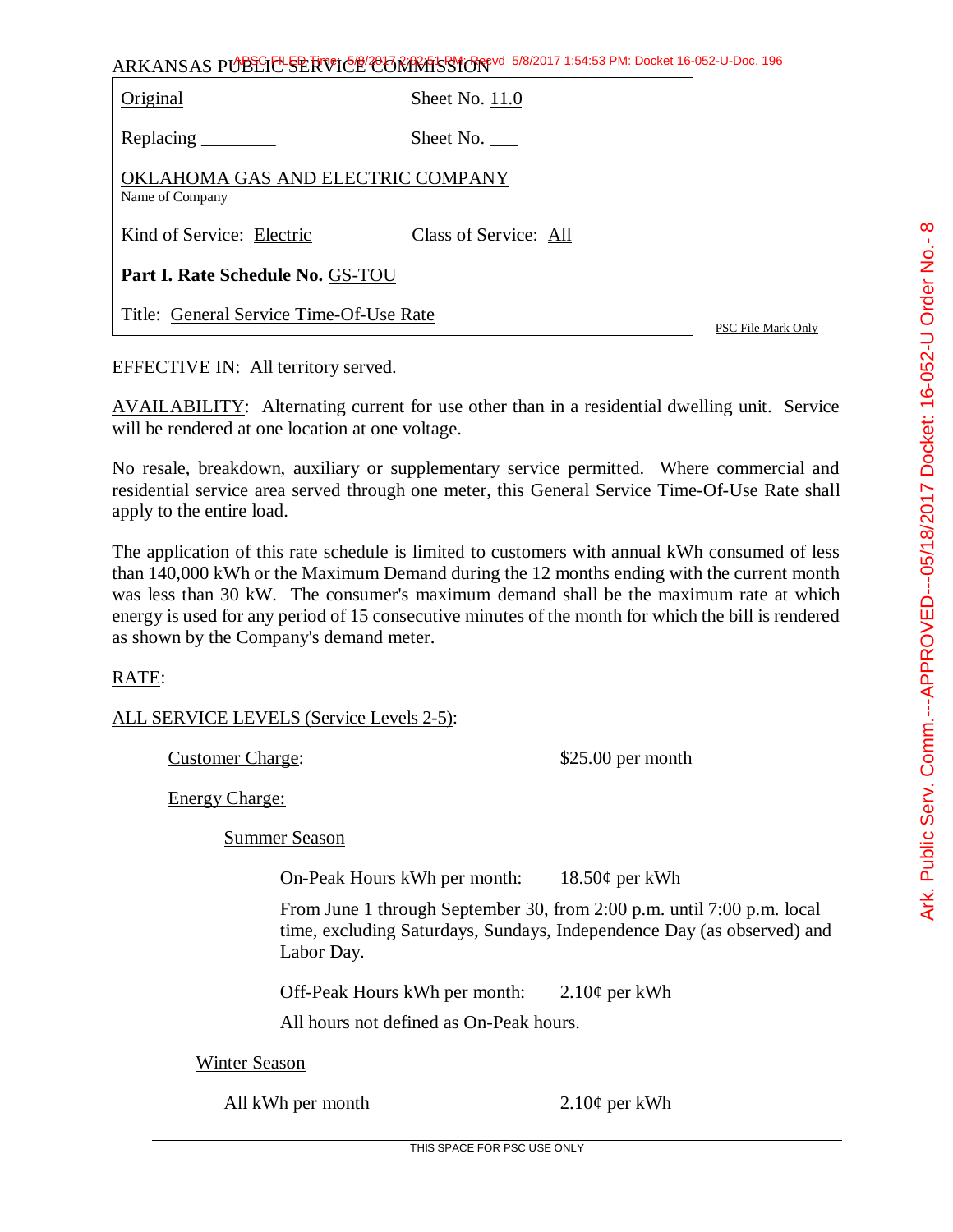ARKANSAS PUBLIC SERVICE COMMISSION 5/8/2017 1:54:53 PM: Docket 16-052-U-Doc. 196

| Original                                             | Sheet No. $11.0$      |  |
|------------------------------------------------------|-----------------------|--|
| Replacing $\frac{\ }{\ }$                            | Sheet No.             |  |
| OKLAHOMA GAS AND ELECTRIC COMPANY<br>Name of Company |                       |  |
| Kind of Service: Electric                            | Class of Service: All |  |
| Part I. Rate Schedule No. GS-TOU                     |                       |  |
| Title: General Service Time-Of-Use Rate              |                       |  |

PSC File Mark Only

## EFFECTIVE IN: All territory served.

AVAILABILITY: Alternating current for use other than in a residential dwelling unit. Service will be rendered at one location at one voltage.

No resale, breakdown, auxiliary or supplementary service permitted. Where commercial and residential service area served through one meter, this General Service Time-Of-Use Rate shall apply to the entire load.

The application of this rate schedule is limited to customers with annual kWh consumed of less than 140,000 kWh or the Maximum Demand during the 12 months ending with the current month was less than 30 kW. The consumer's maximum demand shall be the maximum rate at which energy is used for any period of 15 consecutive minutes of the month for which the bill is rendered as shown by the Company's demand meter.

## RATE:

## ALL SERVICE LEVELS (Service Levels 2-5):

| <b>Customer Charge:</b> |  |
|-------------------------|--|
|                         |  |

 $$25.00$  per month

Energy Charge:

Summer Season

On-Peak Hours kWh per month: 18.50¢ per kWh

From June 1 through September 30, from 2:00 p.m. until 7:00 p.m. local time, excluding Saturdays, Sundays, Independence Day (as observed) and Labor Day.

Off-Peak Hours kWh per month: 2.10¢ per kWh

All hours not defined as On-Peak hours.

Winter Season

All kWh per month 2.10¢ per kWh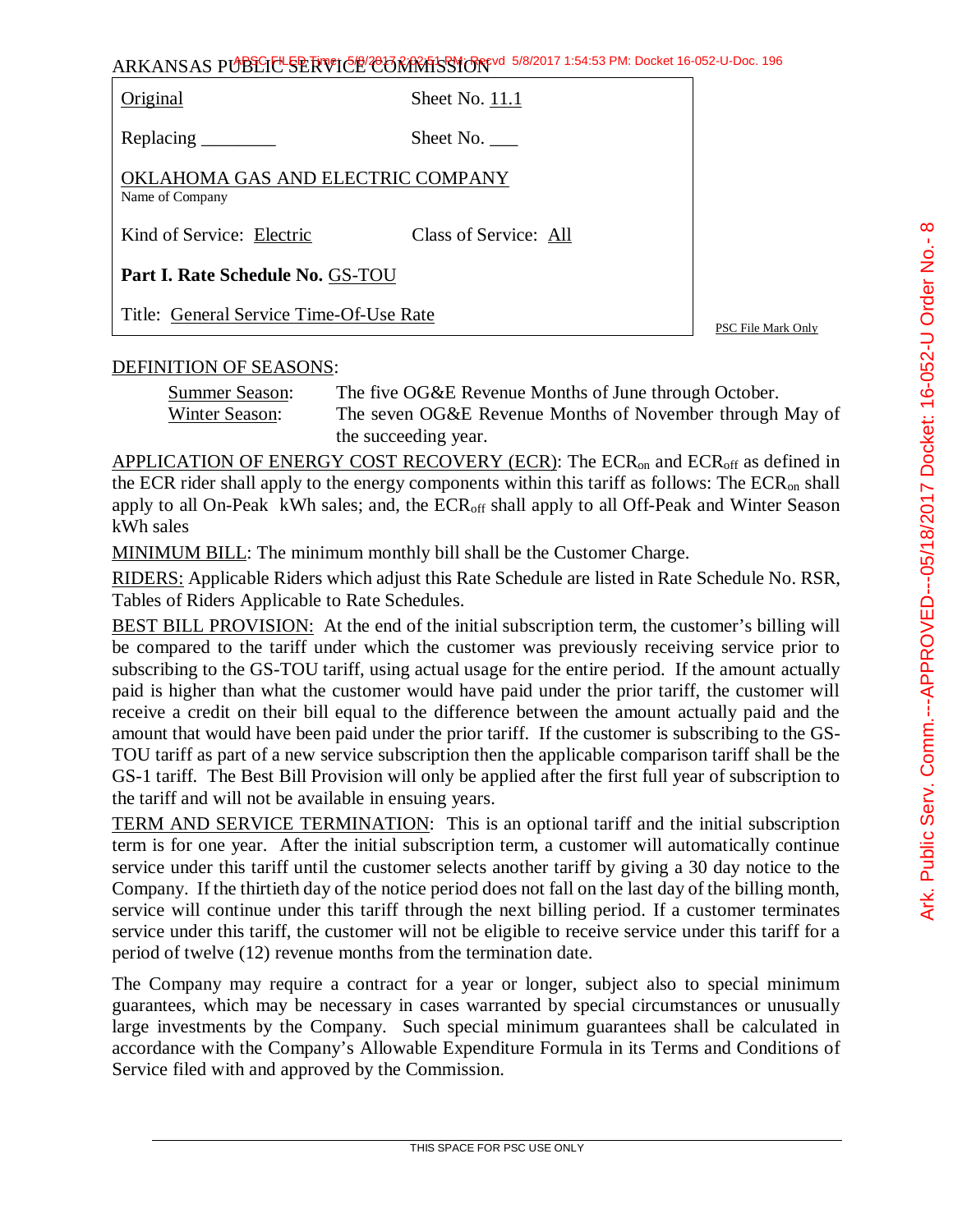ARKANSAS PUBLIC SERVICE COMMISSION 5/8/2017 1:54:53 PM: Docket 16-052-U-Doc. 196

Original Sheet No. 11.1

Replacing Sheet No.

OKLAHOMA GAS AND ELECTRIC COMPANY Name of Company

Kind of Service: Electric Class of Service: All

**Part I. Rate Schedule No.** GS-TOU

Title: General Service Time-Of-Use Rate

PSC File Mark Only

## DEFINITION OF SEASONS:

Summer Season: The five OG&E Revenue Months of June through October. Winter Season: The seven OG&E Revenue Months of November through May of the succeeding year.

APPLICATION OF ENERGY COST RECOVERY (ECR): The ECR<sub>on</sub> and ECR<sub>off</sub> as defined in the ECR rider shall apply to the energy components within this tariff as follows: The ECRon shall apply to all On-Peak kWh sales; and, the ECR<sub>off</sub> shall apply to all Off-Peak and Winter Season kWh sales

MINIMUM BILL: The minimum monthly bill shall be the Customer Charge.

RIDERS: Applicable Riders which adjust this Rate Schedule are listed in Rate Schedule No. RSR, Tables of Riders Applicable to Rate Schedules.

BEST BILL PROVISION: At the end of the initial subscription term, the customer's billing will be compared to the tariff under which the customer was previously receiving service prior to subscribing to the GS-TOU tariff, using actual usage for the entire period. If the amount actually paid is higher than what the customer would have paid under the prior tariff, the customer will receive a credit on their bill equal to the difference between the amount actually paid and the amount that would have been paid under the prior tariff. If the customer is subscribing to the GS-TOU tariff as part of a new service subscription then the applicable comparison tariff shall be the GS-1 tariff. The Best Bill Provision will only be applied after the first full year of subscription to the tariff and will not be available in ensuing years.

TERM AND SERVICE TERMINATION: This is an optional tariff and the initial subscription term is for one year. After the initial subscription term, a customer will automatically continue service under this tariff until the customer selects another tariff by giving a 30 day notice to the Company. If the thirtieth day of the notice period does not fall on the last day of the billing month, service will continue under this tariff through the next billing period. If a customer terminates service under this tariff, the customer will not be eligible to receive service under this tariff for a period of twelve (12) revenue months from the termination date.

The Company may require a contract for a year or longer, subject also to special minimum guarantees, which may be necessary in cases warranted by special circumstances or unusually large investments by the Company. Such special minimum guarantees shall be calculated in accordance with the Company's Allowable Expenditure Formula in its Terms and Conditions of Service filed with and approved by the Commission.